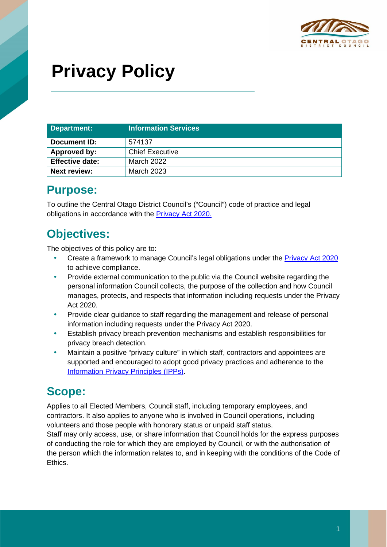

# **Privacy Policy**

| Department:            | <b>Information Services</b> |
|------------------------|-----------------------------|
| Document ID:           | 574137                      |
| Approved by:           | <b>Chief Executive</b>      |
| <b>Effective date:</b> | March 2022                  |
| <b>Next review:</b>    | March 2023                  |

#### **Purpose:**

To outline the Central Otago District Council's ("Council") code of practice and legal obligations in accordance with the [Privacy Act 2020.](http://www.legislation.govt.nz/act/public/2020/0031/latest/LMS23223.html)

# **Objectives:**

The objectives of this policy are to:

- Create a framework to manage Council's legal obligations under the **Privacy Act 2020** to achieve compliance.
- Provide external communication to the public via the Council website regarding the personal information Council collects, the purpose of the collection and how Council manages, protects, and respects that information including requests under the Privacy Act 2020.
- Provide clear guidance to staff regarding the management and release of personal information including requests under the Privacy Act 2020.
- Establish privacy breach prevention mechanisms and establish responsibilities for privacy breach detection.
- Maintain a positive "privacy culture" in which staff, contractors and appointees are supported and encouraged to adopt good privacy practices and adherence to the [Information Privacy Principles \(IPPs\).](https://www.privacy.org.nz/privacy-act-2020/privacy-principles/)

# **Scope:**

Applies to all Elected Members, Council staff, including temporary employees, and contractors. It also applies to anyone who is involved in Council operations, including volunteers and those people with honorary status or unpaid staff status.

Staff may only access, use, or share information that Council holds for the express purposes of conducting the role for which they are employed by Council, or with the authorisation of the person which the information relates to, and in keeping with the conditions of the Code of Ethics.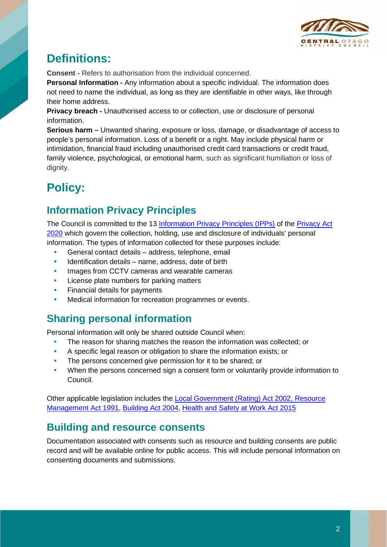

# **Definitions:**

**Consent -** Refers to authorisation from the individual concerned.

**Personal Information -** Any information about a specific individual. The information does not need to name the individual, as long as they are identifiable in other ways, like through their home address.

**Privacy breach -** Unauthorised access to or collection, use or disclosure of personal information.

**Serious harm –** Unwanted sharing, exposure or loss, damage, or disadvantage of access to people's personal information. Loss of a benefit or a right. May include physical harm or intimidation, financial fraud including unauthorised credit card transactions or credit fraud, family violence, psychological, or emotional harm, such as significant humiliation or loss of dianity.

# **Policy:**

#### **Information Privacy Principles**

The Council is committed to the 13 [Information Privacy Principles \(IPPs\)](https://www.privacy.org.nz/privacy-act-2020/privacy-principles/) of the [Privacy Act](http://www.legislation.govt.nz/act/public/2020/0031/latest/LMS23223.html)  [2020](http://www.legislation.govt.nz/act/public/2020/0031/latest/LMS23223.html) which govern the collection, holding, use and disclosure of individuals' personal information. The types of information collected for these purposes include:

- General contact details address, telephone, email
- Identification details name, address, date of birth
- Images from CCTV cameras and wearable cameras
- License plate numbers for parking matters
- Financial details for payments
- Medical information for recreation programmes or events.

#### **Sharing personal information**

Personal information will only be shared outside Council when:

- The reason for sharing matches the reason the information was collected; or
- A specific legal reason or obligation to share the information exists; or
- The persons concerned give permission for it to be shared; or
- When the persons concerned sign a consent form or voluntarily provide information to Council.

Other applicable legislation includes the [Local Government \(Rating\) Act 2002,](https://www.legislation.govt.nz/act/public/2002/0084/latest/DLM170873.html?search=qs_act%40bill%40regulation%40deemedreg_local+government+rating+act_resel_25_h&p=1&sr=1) [Resource](https://www.legislation.govt.nz/act/public/1991/0069/latest/DLM230265.html?search=qs_act%40bill%40regulation%40deemedreg_Resource+Management+Act+2020_resel_25_h&p=1&sr=1)  [Management Act 1991,](https://www.legislation.govt.nz/act/public/1991/0069/latest/DLM230265.html?search=qs_act%40bill%40regulation%40deemedreg_Resource+Management+Act+2020_resel_25_h&p=1&sr=1) [Building Act 2004,](https://www.legislation.govt.nz/act/public/2004/0072/latest/DLM306036.html?search=qs_act%40bill%40regulation%40deemedreg_building+act_resel_25_h&p=1&sr=1) [Health and Safety at Work Act 2015](https://www.legislation.govt.nz/act/public/2015/0070/latest/DLM5976660.html?search=qs_act%40bill%40regulation%40deemedreg_Health+and+Safety+at+Work+Act_resel_25_h&p=1&sr=1)

#### **Building and resource consents**

Documentation associated with consents such as resource and building consents are public record and will be available online for public access. This will include personal information on consenting documents and submissions.